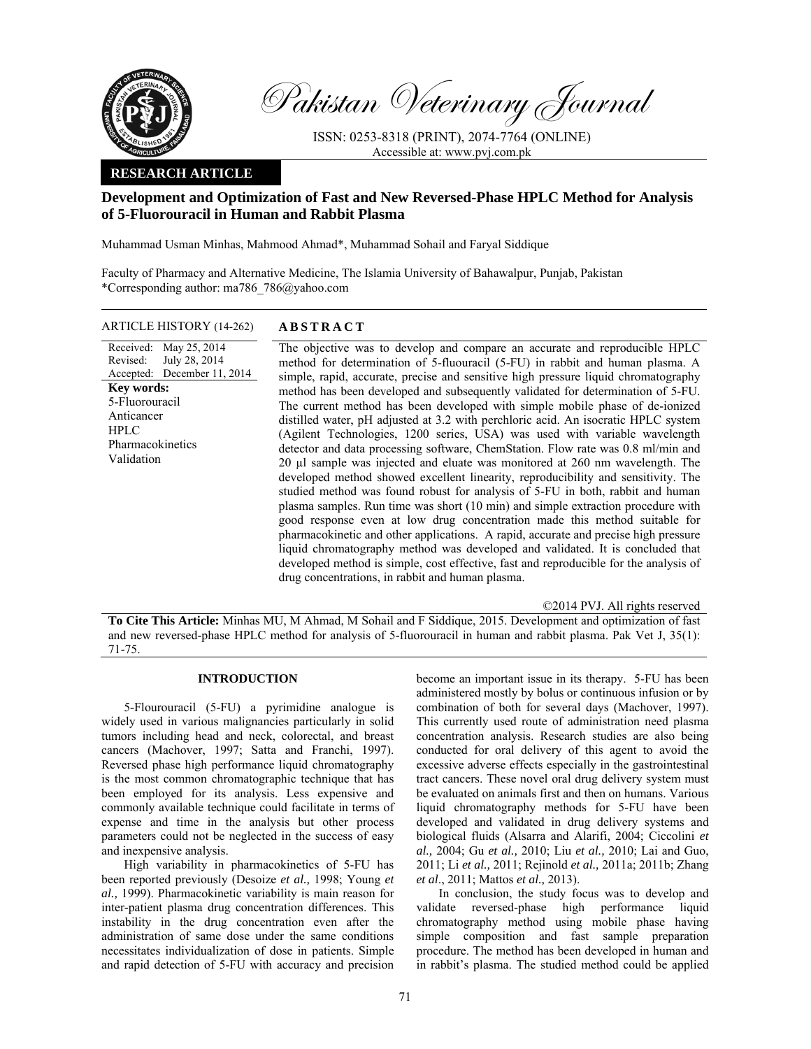

Pakistan Veterinary Journal

ISSN: 0253-8318 (PRINT), 2074-7764 (ONLINE) Accessible at: www.pvj.com.pk

## **RESEARCH ARTICLE**

# **Development and Optimization of Fast and New Reversed-Phase HPLC Method for Analysis of 5-Fluorouracil in Human and Rabbit Plasma**

Muhammad Usman Minhas, Mahmood Ahmad\*, Muhammad Sohail and Faryal Siddique

Faculty of Pharmacy and Alternative Medicine, The Islamia University of Bahawalpur, Punjab, Pakistan \*Corresponding author: ma786\_786@yahoo.com

ARTICLE HISTORY (14-262) **ABSTRACT** 

Received: Revised: Accepted: May 25, 2014 July 28, 2014 December 11, 2014 **Key words:**  5-Fluorouracil Anticancer **HPLC** Pharmacokinetics Validation

 The objective was to develop and compare an accurate and reproducible HPLC method for determination of 5-fluouracil (5-FU) in rabbit and human plasma. A simple, rapid, accurate, precise and sensitive high pressure liquid chromatography method has been developed and subsequently validated for determination of 5-FU. The current method has been developed with simple mobile phase of de-ionized distilled water, pH adjusted at 3.2 with perchloric acid. An isocratic HPLC system (Agilent Technologies, 1200 series, USA) was used with variable wavelength detector and data processing software, ChemStation. Flow rate was 0.8 ml/min and 20 µl sample was injected and eluate was monitored at 260 nm wavelength. The developed method showed excellent linearity, reproducibility and sensitivity. The studied method was found robust for analysis of 5-FU in both, rabbit and human plasma samples. Run time was short (10 min) and simple extraction procedure with good response even at low drug concentration made this method suitable for pharmacokinetic and other applications. A rapid, accurate and precise high pressure liquid chromatography method was developed and validated. It is concluded that developed method is simple, cost effective, fast and reproducible for the analysis of drug concentrations, in rabbit and human plasma.

©2014 PVJ. All rights reserved

**To Cite This Article:** Minhas MU, M Ahmad, M Sohail and F Siddique, 2015. Development and optimization of fast and new reversed-phase HPLC method for analysis of 5-fluorouracil in human and rabbit plasma. Pak Vet J, 35(1): 71-75.

## **INTRODUCTION**

5-Flourouracil (5-FU) a pyrimidine analogue is widely used in various malignancies particularly in solid tumors including head and neck, colorectal, and breast cancers (Machover, 1997; Satta and Franchi, 1997). Reversed phase high performance liquid chromatography is the most common chromatographic technique that has been employed for its analysis. Less expensive and commonly available technique could facilitate in terms of expense and time in the analysis but other process parameters could not be neglected in the success of easy and inexpensive analysis.

High variability in pharmacokinetics of 5-FU has been reported previously (Desoize *et al.,* 1998; Young *et al.,* 1999). Pharmacokinetic variability is main reason for inter-patient plasma drug concentration differences. This instability in the drug concentration even after the administration of same dose under the same conditions necessitates individualization of dose in patients. Simple and rapid detection of 5-FU with accuracy and precision

become an important issue in its therapy. 5-FU has been administered mostly by bolus or continuous infusion or by combination of both for several days (Machover, 1997). This currently used route of administration need plasma concentration analysis. Research studies are also being conducted for oral delivery of this agent to avoid the excessive adverse effects especially in the gastrointestinal tract cancers. These novel oral drug delivery system must be evaluated on animals first and then on humans. Various liquid chromatography methods for 5-FU have been developed and validated in drug delivery systems and biological fluids (Alsarra and Alarifi, 2004; Ciccolini *et al.,* 2004; Gu *et al.,* 2010; Liu *et al.,* 2010; Lai and Guo, 2011; Li *et al.,* 2011; Rejinold *et al.,* 2011a; 2011b; Zhang *et al*., 2011; Mattos *et al.,* 2013).

In conclusion, the study focus was to develop and validate reversed-phase high performance liquid chromatography method using mobile phase having simple composition and fast sample preparation procedure. The method has been developed in human and in rabbit's plasma. The studied method could be applied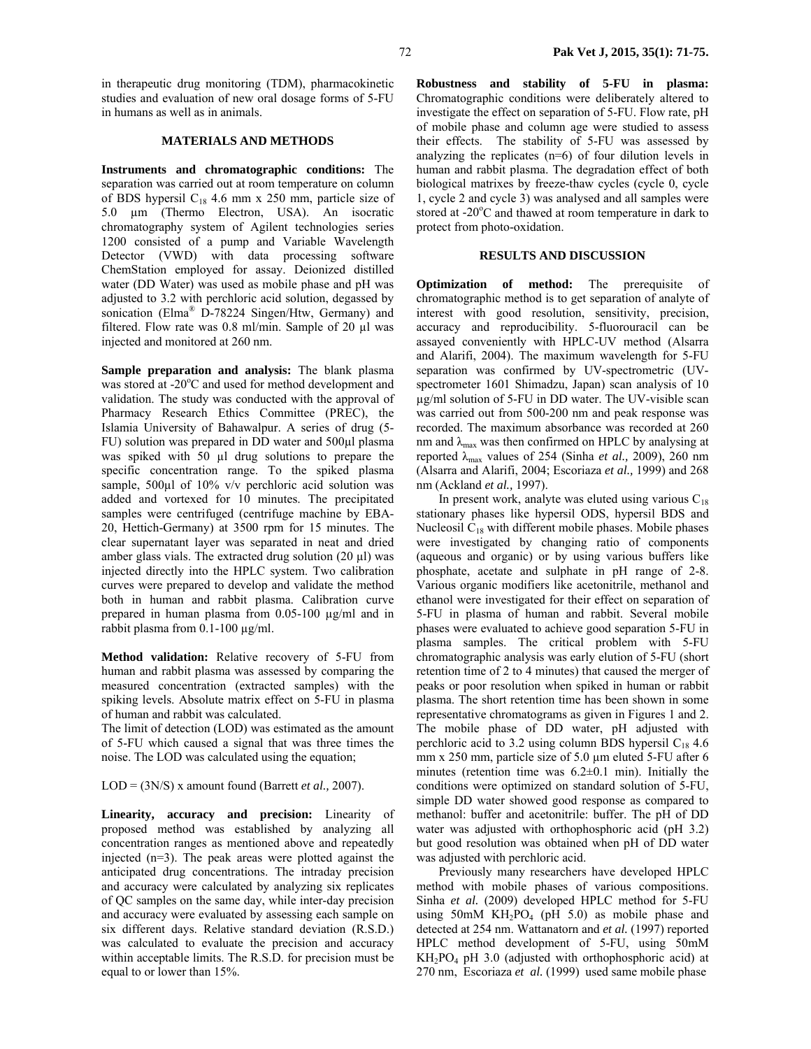in therapeutic drug monitoring (TDM), pharmacokinetic studies and evaluation of new oral dosage forms of 5-FU in humans as well as in animals.

#### **MATERIALS AND METHODS**

**Instruments and chromatographic conditions:** The separation was carried out at room temperature on column of BDS hypersil  $C_{18}$  4.6 mm x 250 mm, particle size of 5.0 µm (Thermo Electron, USA). An isocratic chromatography system of Agilent technologies series 1200 consisted of a pump and Variable Wavelength Detector (VWD) with data processing software ChemStation employed for assay. Deionized distilled water (DD Water) was used as mobile phase and pH was adjusted to 3.2 with perchloric acid solution, degassed by sonication (Elma<sup>®</sup> D-78224 Singen/Htw, Germany) and filtered. Flow rate was 0.8 ml/min. Sample of 20 µl was injected and monitored at 260 nm.

**Sample preparation and analysis:** The blank plasma was stored at -20°C and used for method development and validation. The study was conducted with the approval of Pharmacy Research Ethics Committee (PREC), the Islamia University of Bahawalpur. A series of drug (5- FU) solution was prepared in DD water and 500µl plasma was spiked with 50 µl drug solutions to prepare the specific concentration range. To the spiked plasma sample, 500µl of 10% v/v perchloric acid solution was added and vortexed for 10 minutes. The precipitated samples were centrifuged (centrifuge machine by EBA-20, Hettich-Germany) at 3500 rpm for 15 minutes. The clear supernatant layer was separated in neat and dried amber glass vials. The extracted drug solution (20 µl) was injected directly into the HPLC system. Two calibration curves were prepared to develop and validate the method both in human and rabbit plasma. Calibration curve prepared in human plasma from 0.05-100 µg/ml and in rabbit plasma from  $0.1\n-100 \mu g/ml$ .

**Method validation:** Relative recovery of 5-FU from human and rabbit plasma was assessed by comparing the measured concentration (extracted samples) with the spiking levels. Absolute matrix effect on 5-FU in plasma of human and rabbit was calculated.

The limit of detection (LOD) was estimated as the amount of 5-FU which caused a signal that was three times the noise. The LOD was calculated using the equation;

LOD = (3N/S) x amount found (Barrett *et al.,* 2007).

**Linearity, accuracy and precision:** Linearity of proposed method was established by analyzing all concentration ranges as mentioned above and repeatedly injected (n=3). The peak areas were plotted against the anticipated drug concentrations. The intraday precision and accuracy were calculated by analyzing six replicates of QC samples on the same day, while inter-day precision and accuracy were evaluated by assessing each sample on six different days. Relative standard deviation (R.S.D.) was calculated to evaluate the precision and accuracy within acceptable limits. The R.S.D. for precision must be equal to or lower than 15%.

**Robustness and stability of 5-FU in plasma:**  Chromatographic conditions were deliberately altered to investigate the effect on separation of 5-FU. Flow rate, pH of mobile phase and column age were studied to assess their effects. The stability of 5-FU was assessed by analyzing the replicates (n=6) of four dilution levels in human and rabbit plasma. The degradation effect of both biological matrixes by freeze-thaw cycles (cycle 0, cycle 1, cycle 2 and cycle 3) was analysed and all samples were stored at -20°C and thawed at room temperature in dark to protect from photo-oxidation.

## **RESULTS AND DISCUSSION**

**Optimization of method:** The prerequisite of chromatographic method is to get separation of analyte of interest with good resolution, sensitivity, precision, accuracy and reproducibility. 5-fluorouracil can be assayed conveniently with HPLC-UV method (Alsarra and Alarifi, 2004). The maximum wavelength for 5-FU separation was confirmed by UV-spectrometric (UVspectrometer 1601 Shimadzu, Japan) scan analysis of 10 µg/ml solution of 5-FU in DD water. The UV-visible scan was carried out from 500-200 nm and peak response was recorded. The maximum absorbance was recorded at 260 nm and  $\lambda_{\text{max}}$  was then confirmed on HPLC by analysing at reported λmax values of 254 (Sinha *et al.,* 2009), 260 nm (Alsarra and Alarifi, 2004; Escoriaza *et al.,* 1999) and 268 nm (Ackland *et al.,* 1997).

In present work, analyte was eluted using various  $C_{18}$ stationary phases like hypersil ODS, hypersil BDS and Nucleosil  $C_{18}$  with different mobile phases. Mobile phases were investigated by changing ratio of components (aqueous and organic) or by using various buffers like phosphate, acetate and sulphate in pH range of 2-8. Various organic modifiers like acetonitrile, methanol and ethanol were investigated for their effect on separation of 5-FU in plasma of human and rabbit. Several mobile phases were evaluated to achieve good separation 5-FU in plasma samples. The critical problem with 5-FU chromatographic analysis was early elution of 5-FU (short retention time of 2 to 4 minutes) that caused the merger of peaks or poor resolution when spiked in human or rabbit plasma. The short retention time has been shown in some representative chromatograms as given in Figures 1 and 2. The mobile phase of DD water, pH adjusted with perchloric acid to 3.2 using column BDS hypersil  $C_{18}$  4.6 mm x 250 mm, particle size of 5.0  $\mu$ m eluted 5-FU after 6 minutes (retention time was 6.2±0.1 min). Initially the conditions were optimized on standard solution of 5-FU, simple DD water showed good response as compared to methanol: buffer and acetonitrile: buffer. The pH of DD water was adjusted with orthophosphoric acid (pH 3.2) but good resolution was obtained when pH of DD water was adjusted with perchloric acid.

Previously many researchers have developed HPLC method with mobile phases of various compositions. Sinha *et al.* (2009) developed HPLC method for 5-FU using 50mM  $KH_2PO_4$  (pH 5.0) as mobile phase and detected at 254 nm. Wattanatorn and *et al.* (1997) reported HPLC method development of 5-FU, using 50mM  $KH_2PO_4$  pH 3.0 (adjusted with orthophosphoric acid) at 270 nm, Escoriaza *et al.* (1999) used same mobile phase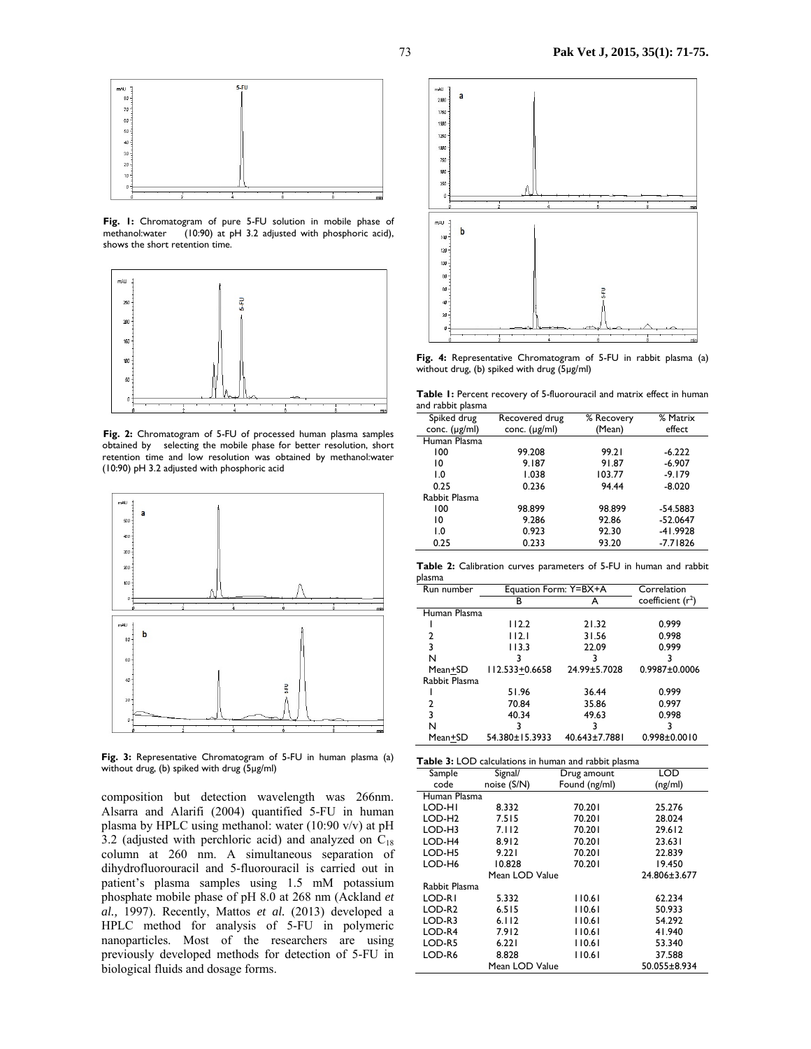

**Fig. 1:** Chromatogram of pure 5-FU solution in mobile phase of methanol:water (10:90) at pH 3.2 adjusted with phosphoric acid), shows the short retention time.



**Fig. 2:** Chromatogram of 5-FU of processed human plasma samples obtained by selecting the mobile phase for better resolution, short retention time and low resolution was obtained by methanol:water (10:90) pH 3.2 adjusted with phosphoric acid



**Fig. 3:** Representative Chromatogram of 5-FU in human plasma (a) without drug, (b) spiked with drug (5µg/ml)

composition but detection wavelength was 266nm. Alsarra and Alarifi (2004) quantified 5-FU in human plasma by HPLC using methanol: water (10:90 v/v) at pH 3.2 (adjusted with perchloric acid) and analyzed on  $C_{18}$ column at 260 nm. A simultaneous separation of dihydrofluorouracil and 5-fluorouracil is carried out in patient's plasma samples using 1.5 mM potassium phosphate mobile phase of pH 8.0 at 268 nm (Ackland *et al.,* 1997). Recently, Mattos *et al.* (2013) developed a HPLC method for analysis of 5-FU in polymeric nanoparticles. Most of the researchers are using previously developed methods for detection of 5-FU in biological fluids and dosage forms.



**Fig. 4:** Representative Chromatogram of 5-FU in rabbit plasma (a) without drug, (b) spiked with drug (5µg/ml)

**Table 1:** Percent recovery of 5-fluorouracil and matrix effect in human and rabbit plasma

| Spiked drug        | Recovered drug     | % Recovery | % Matrix   |
|--------------------|--------------------|------------|------------|
| conc. $(\mu g/ml)$ | conc. $(\mu g/ml)$ | (Mean)     | effect     |
| Human Plasma       |                    |            |            |
| 100                | 99.208             | 99.21      | $-6.222$   |
| 10                 | 9.187              | 91.87      | $-6.907$   |
| $\overline{0}$ .   | 1.038              | 103.77     | $-9.179$   |
| 0.25               | 0.236              | 94.44      | $-8.020$   |
| Rabbit Plasma      |                    |            |            |
| 100                | 98.899             | 98.899     | $-54.5883$ |
| 10                 | 9.286              | 92.86      | $-52.0647$ |
| $\overline{0}$ .   | 0.923              | 92.30      | $-41.9928$ |
| 0.25               | 0.233              | 93.20      | $-7.71826$ |

**Table 2:** Calibration curves parameters of 5-FU in human and rabbit plasma

| Run number    | Equation Form: Y=BX+A |               | Correlation         |
|---------------|-----------------------|---------------|---------------------|
|               | в                     | А             | coefficient $(r^2)$ |
| Human Plasma  |                       |               |                     |
|               | 112.2                 | 21.32         | 0.999               |
| 2             | 112.1                 | 31.56         | 0.998               |
| 3             | 113.3                 | 22.09         | 0.999               |
| N             |                       |               |                     |
| Mean+SD       | 112.533+0.6658        | 24.99±5.7028  | $0.9987 + 0.0006$   |
| Rabbit Plasma |                       |               |                     |
|               | 51.96                 | 36.44         | 0.999               |
| 2             | 70.84                 | 35.86         | 0.997               |
| 3             | 40.34                 | 49.63         | 0.998               |
| N             |                       |               |                     |
| Mean+SD       | 54.380±15.3933        | 40.643±7.7881 | $0.998 + 0.0010$    |

| Table 3: LOD calculations in human and rabbit plasma |                |               |              |
|------------------------------------------------------|----------------|---------------|--------------|
| Sample                                               | Signal/        | Drug amount   | LOD          |
| code                                                 | noise (S/N)    | Found (ng/ml) | (ng/ml)      |
| Human Plasma                                         |                |               |              |
| LOD-HI                                               | 8.332          | 70.201        | 25.276       |
| LOD-H <sub>2</sub>                                   | 7.515          | 70.201        | 28.024       |
| LOD-H3                                               | 7.112          | 70.201        | 29.612       |
| LOD-H4                                               | 8.912          | 70.201        | 23.631       |
| LOD-H5                                               | 9.221          | 70.201        | 22.839       |
| LOD-H6                                               | 10.828         | 70.201        | 19.450       |
|                                                      | Mean LOD Value |               | 24.806±3.677 |
| Rabbit Plasma                                        |                |               |              |
| LOD-RI                                               | 5.332          | 110.61        | 62.234       |
| LOD-R <sub>2</sub>                                   | 6.515          | 110.61        | 50.933       |
| LOD-R3                                               | $6.112$        | 110.61        | 54.292       |
| LOD-R4                                               | 7.912          | 110.61        | 41.940       |
| LOD-R5                                               | 6.221          | 110.61        | 53.340       |
| LOD-R6                                               | 8.828          | 110.61        | 37.588       |
|                                                      | Mean LOD Value |               | 50.055±8.934 |
|                                                      |                |               |              |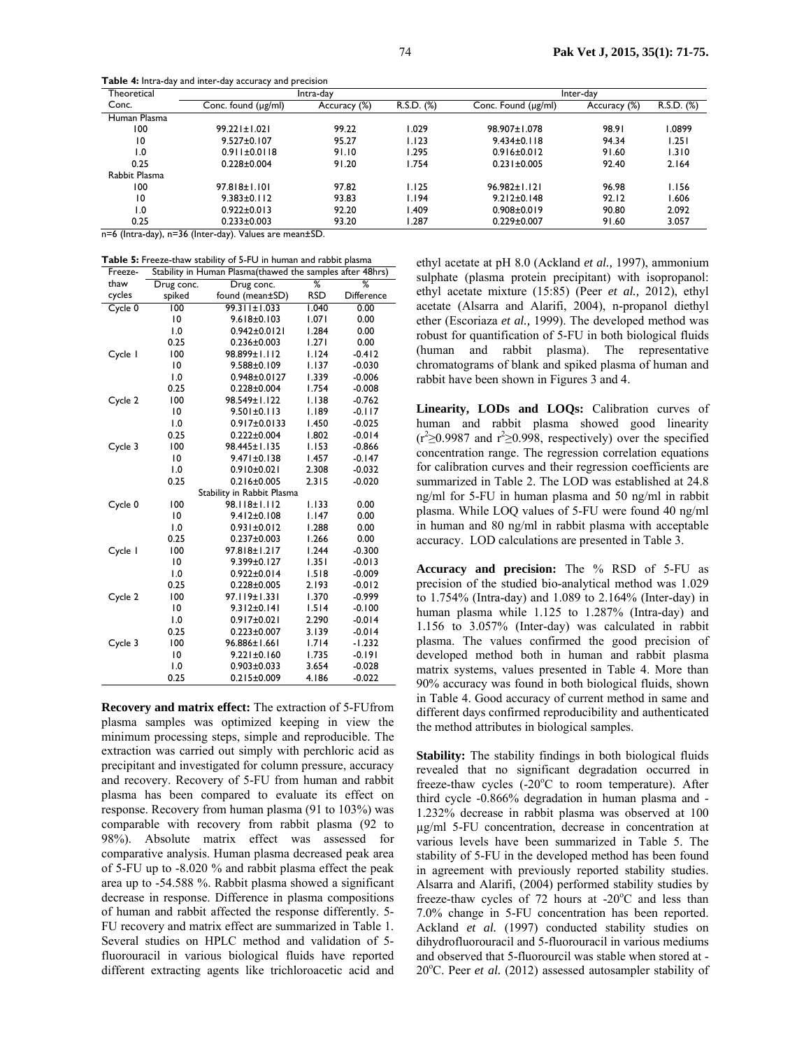**Theoretical** Conc. Intra-day Inter-day Conc. found (µg/ml) Accuracy (%) R.S.D. (%) Conc. Found (µg/ml) Accuracy (%) R.S.D. (%) Human Plasma 100 99.221±1.021 99.22 1.029 98.907±1.078 98.91 1.0899 10 9.527±0.107 95.27 1.123 9.434±0.118 94.34 1.251 1.0 0.911±0.0118 91.10 1.295 0.916±0.012 91.60 1.310 0.25 0.228±0.004 91.20 1.754 0.231±0.005 92.40 2.164 Rabbit Plasma 100 97.818±1.101 97.82 1.125 96.982±1.121 96.98 1.156 10 9.383±0.112 93.83 1.194 9.212±0.148 92.12 1.606 1.0 0.922±0.013 92.20 1.409 0.908±0.019 90.80 2.092 0.25 0.233±0.003 93.20 1.287 0.229±0.007 91.60 3.057

**Table 4:** Intra-day and inter-day accuracy and precision

n=6 (Intra-day), n=36 (Inter-day). Values are mean±SD.

| <b>Table 5:</b> Freeze-thaw stability of 5-FU in human and rabbit plasma |  |  |
|--------------------------------------------------------------------------|--|--|
|                                                                          |  |  |

| Freeze- |                  | Stability in Human Plasma (thawed the samples after 48hrs) |            |            |
|---------|------------------|------------------------------------------------------------|------------|------------|
| thaw    | Drug conc.       | Drug conc.                                                 | %          | ℅          |
| cycles  | spiked           | found (mean±SD)                                            | <b>RSD</b> | Difference |
| Cycle 0 | 100              | $99.311 \pm 1.033$                                         | 1.040      | 0.00       |
|         | 10               | $9.618 \pm 0.103$                                          | 1.071      | 0.00       |
|         | $\overline{0}$ . | 0.942±0.0121                                               | 1.284      | 0.00       |
|         | 0.25             | $0.236 \pm 0.003$                                          | 1.271      | 0.00       |
| Cycle I | 100              | 98.899±1.112                                               | 1.124      | $-0.412$   |
|         | 10               | 9.588±0.109                                                | I.I37      | $-0.030$   |
|         | 1.0              | 0.948±0.0127                                               | 1.339      | $-0.006$   |
|         | 0.25             | $0.228 + 0.004$                                            | 1.754      | $-0.008$   |
| Cycle 2 | 100              | 98.549±1.122                                               | I.I38      | $-0.762$   |
|         | 10               | $9.501 \pm 0.113$                                          | 1.189      | $-0.117$   |
|         | $\overline{0}$ . | 0.917±0.0133                                               | I.450      | $-0.025$   |
|         | 0.25             | $0.222 \pm 0.004$                                          | 1.802      | $-0.014$   |
| Cycle 3 | 100              | 98.445±1.135                                               | 1.153      | $-0.866$   |
|         | 10               | 9.471±0.138                                                | I.457      | -0.147     |
|         | $\overline{0}$ . | $0.910 \pm 0.021$                                          | 2.308      | $-0.032$   |
|         | 0.25             | $0.216 \pm 0.005$                                          | 2.315      | $-0.020$   |
|         |                  | Stability in Rabbit Plasma                                 |            |            |
| Cycle 0 | 100              | 98.118±1.112                                               | 1.133      | 0.00       |
|         | 10               | 9.412±0.108                                                | 1.147      | 0.00       |
|         | $\overline{0}$ . | $0.931 \pm 0.012$                                          | 1.288      | 0.00       |
|         | 0.25             | $0.237 \pm 0.003$                                          | 1.266      | 0.00       |
| Cycle I | 100              | 97.818±1.217                                               | 1.244      | $-0.300$   |
|         | 10               | 9.399±0.127                                                | 1.351      | $-0.013$   |
|         | 0.1              | $0.922 \pm 0.014$                                          | 1.518      | $-0.009$   |
|         | 0.25             | $0.228 \pm 0.005$                                          | 2.193      | $-0.012$   |
| Cycle 2 | 100              | 97.119±1.331                                               | 1.370      | $-0.999$   |
|         | 10               | $9.312 \pm 0.141$                                          | 1.514      | $-0.100$   |
|         | $\overline{0}$ . | $0.917 \pm 0.021$                                          | 2.290      | $-0.014$   |
|         | 0.25             | $0.223 \pm 0.007$                                          | 3.139      | $-0.014$   |
| Cycle 3 | 100              | 96.886±1.661                                               | 1.714      | $-1.232$   |
|         | $\overline{10}$  | $9.221 \pm 0.160$                                          | 1.735      | -0.191     |
|         | $\overline{0}$ . | $0.903 \pm 0.033$                                          | 3.654      | $-0.028$   |
|         | 0.25             | $0.215 \pm 0.009$                                          | 4.186      | $-0.022$   |

**Recovery and matrix effect:** The extraction of 5-FUfrom plasma samples was optimized keeping in view the minimum processing steps, simple and reproducible. The extraction was carried out simply with perchloric acid as precipitant and investigated for column pressure, accuracy and recovery. Recovery of 5-FU from human and rabbit plasma has been compared to evaluate its effect on response. Recovery from human plasma (91 to 103%) was comparable with recovery from rabbit plasma (92 to 98%). Absolute matrix effect was assessed for comparative analysis. Human plasma decreased peak area of 5-FU up to -8.020 % and rabbit plasma effect the peak area up to -54.588 %. Rabbit plasma showed a significant decrease in response. Difference in plasma compositions of human and rabbit affected the response differently. 5- FU recovery and matrix effect are summarized in Table 1. Several studies on HPLC method and validation of 5 fluorouracil in various biological fluids have reported different extracting agents like trichloroacetic acid and

ethyl acetate at pH 8.0 (Ackland *et al.,* 1997), ammonium sulphate (plasma protein precipitant) with isopropanol: ethyl acetate mixture (15:85) (Peer *et al.,* 2012), ethyl acetate (Alsarra and Alarifi, 2004), n-propanol diethyl ether (Escoriaza *et al.,* 1999). The developed method was robust for quantification of 5-FU in both biological fluids (human and rabbit plasma). The representative chromatograms of blank and spiked plasma of human and rabbit have been shown in Figures 3 and 4.

**Linearity, LODs and LOQs:** Calibration curves of human and rabbit plasma showed good linearity  $(r^2 \ge 0.9987$  and  $r^2 \ge 0.998$ , respectively) over the specified concentration range. The regression correlation equations for calibration curves and their regression coefficients are summarized in Table 2. The LOD was established at 24.8 ng/ml for 5-FU in human plasma and 50 ng/ml in rabbit plasma. While LOQ values of 5-FU were found 40 ng/ml in human and 80 ng/ml in rabbit plasma with acceptable accuracy. LOD calculations are presented in Table 3.

**Accuracy and precision:** The % RSD of 5-FU as precision of the studied bio-analytical method was 1.029 to 1.754% (Intra-day) and 1.089 to 2.164% (Inter-day) in human plasma while 1.125 to 1.287% (Intra-day) and 1.156 to 3.057% (Inter-day) was calculated in rabbit plasma. The values confirmed the good precision of developed method both in human and rabbit plasma matrix systems, values presented in Table 4. More than 90% accuracy was found in both biological fluids, shown in Table 4. Good accuracy of current method in same and different days confirmed reproducibility and authenticated the method attributes in biological samples.

**Stability:** The stability findings in both biological fluids revealed that no significant degradation occurred in freeze-thaw cycles (-20°C to room temperature). After third cycle -0.866% degradation in human plasma and - 1.232% decrease in rabbit plasma was observed at 100 µg/ml 5-FU concentration, decrease in concentration at various levels have been summarized in Table 5. The stability of 5-FU in the developed method has been found in agreement with previously reported stability studies. Alsarra and Alarifi, (2004) performed stability studies by freeze-thaw cycles of  $72$  hours at -20 $^{\circ}$ C and less than 7.0% change in 5-FU concentration has been reported. Ackland *et al.* (1997) conducted stability studies on dihydrofluorouracil and 5-fluorouracil in various mediums and observed that 5-fluorourcil was stable when stored at - 20°C. Peer et al. (2012) assessed autosampler stability of